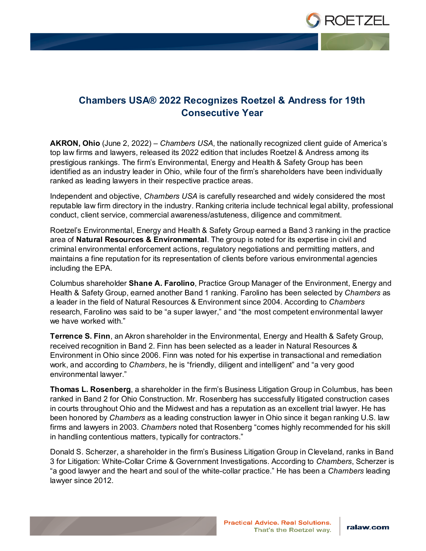

## **Chambers USA® 2022 Recognizes Roetzel & Andress for 19th Consecutive Year**

**AKRON, Ohio** (June 2, 2022) – *Chambers USA*, the nationally recognized client guide of America's top law firms and lawyers, released its 2022 edition that includes Roetzel & Andress among its prestigious rankings. The firm's Environmental, Energy and Health & Safety Group has been identified as an industry leader in Ohio, while four of the firm's shareholders have been individually ranked as leading lawyers in their respective practice areas.

Independent and objective, *Chambers USA* is carefully researched and widely considered the most reputable law firm directory in the industry. Ranking criteria include technical legal ability, professional conduct, client service, commercial awareness/astuteness, diligence and commitment.

Roetzel's Environmental, Energy and Health & Safety Group earned a Band 3 ranking in the practice area of **Natural Resources & Environmental**. The group is noted for its expertise in civil and criminal environmental enforcement actions, regulatory negotiations and permitting matters, and maintains a fine reputation for its representation of clients before various environmental agencies including the EPA.

Columbus shareholder **Shane A. Farolino**, Practice Group Manager of the Environment, Energy and Health & Safety Group, earned another Band 1 ranking. Farolino has been selected by *Chambers* as a leader in the field of Natural Resources & Environment since 2004. According to *Chambers* research, Farolino was said to be "a super lawyer," and "the most competent environmental lawyer we have worked with."

**Terrence S. Finn**, an Akron shareholder in the Environmental, Energy and Health & Safety Group, received recognition in Band 2. Finn has been selected as a leader in Natural Resources & Environment in Ohio since 2006. Finn was noted for his expertise in transactional and remediation work, and according to *Chambers*, he is "friendly, diligent and intelligent" and "a very good environmental lawyer."

**Thomas L. Rosenberg**, a shareholder in the firm's Business Litigation Group in Columbus, has been ranked in Band 2 for Ohio Construction. Mr. Rosenberg has successfully litigated construction cases in courts throughout Ohio and the Midwest and has a reputation as an excellent trial lawyer. He has been honored by *Chambers* as a leading construction lawyer in Ohio since it began ranking U.S. law firms and lawyers in 2003. *Chambers* noted that Rosenberg "comes highly recommended for his skill in handling contentious matters, typically for contractors."

Donald S. Scherzer, a shareholder in the firm's Business Litigation Group in Cleveland, ranks in Band 3 for Litigation: White-Collar Crime & Government Investigations. According to *Chambers*, Scherzer is "a good lawyer and the heart and soul of the white-collar practice." He has been a *Chambers* leading lawyer since 2012.